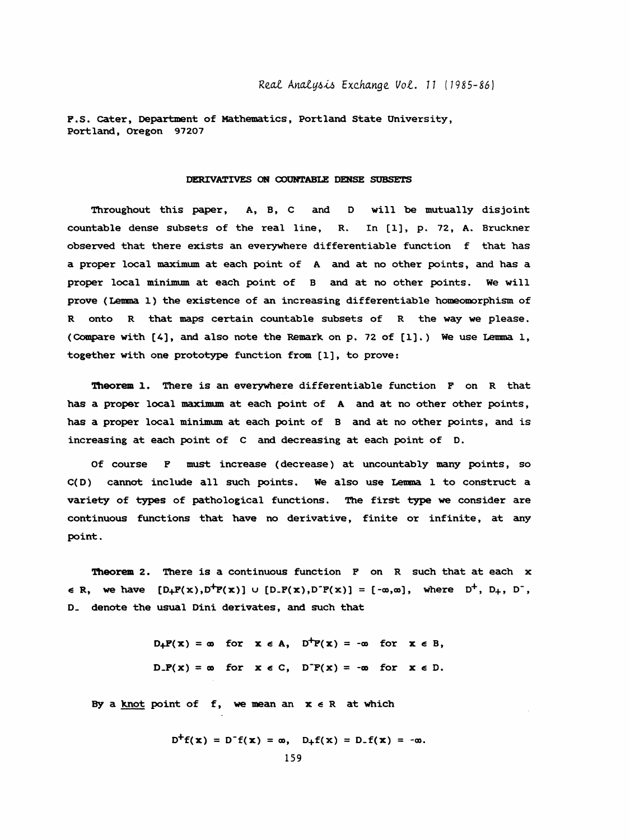P.S. Cater, Department of Mathematics, Portland State University, Portland, Oregon 97207

## DERIVATIVES ON COUNTABLE DENSE SUBSETS

 Throughout this paper, A, B, C and D will be mutually disjoint countable dense subsets of the real line, R. In [1], p. 72, A. Bruckner observed that there exists an everywhere differentiable function f that has a proper local maximum at each point of A and at no other points, and has a proper local minimum at each point of B and at no other points. We will prove (Lemma 1) the existence of an increasing differentiable homeomorphism of R onto R that maps certain countable subsets of R the way we please. (Compare with [A], and also note the Remark on p. 72 of [I]. ) We use Lemma 1, together with one prototype function from [1], to prove:

 Theorem 1. There is an everywhere differentiable function F on R that has a proper local maximum at each point of A and at no other other points, has a proper local minimum at each point of B and at no other points, and is increasing at each point of C and decreasing at each point of D.

Of course F must increase (decrease) at uncountably many points, so C(D) cannot include all such points. We also use Lenna 1 to construct a variety of types of pathological functions. The first type we consider are continuous functions that have no derivative, finite or infinite, at any point.

 Theorem 2. There is a continuous function F on R such that at each x  $\in$  R, we have  $[D+P(x),D^+P(x)] \cup [D-P(x),D^-P(x)] = [-\infty,\infty]$ , where  $D^+$ ,  $D_+$ ,  $D^-$ , D\_ denote the usual Dini derivates, and such that

> $D_+P(x) = \infty$  for  $x \in A$ ,  $D^+P(x) = -\infty$  for  $x \in B$ ,  $D.F(x) = \omega$  for  $x \in C$ ,  $D^-F(x) = -\omega$  for  $x \in D$ .

By a knot point of f, we mean an  $x \in R$  at which

$$
D^{+}f(x) = D^{-}f(x) = \infty, \quad D_{+}f(x) = D_{-}f(x) = -\infty.
$$
  
159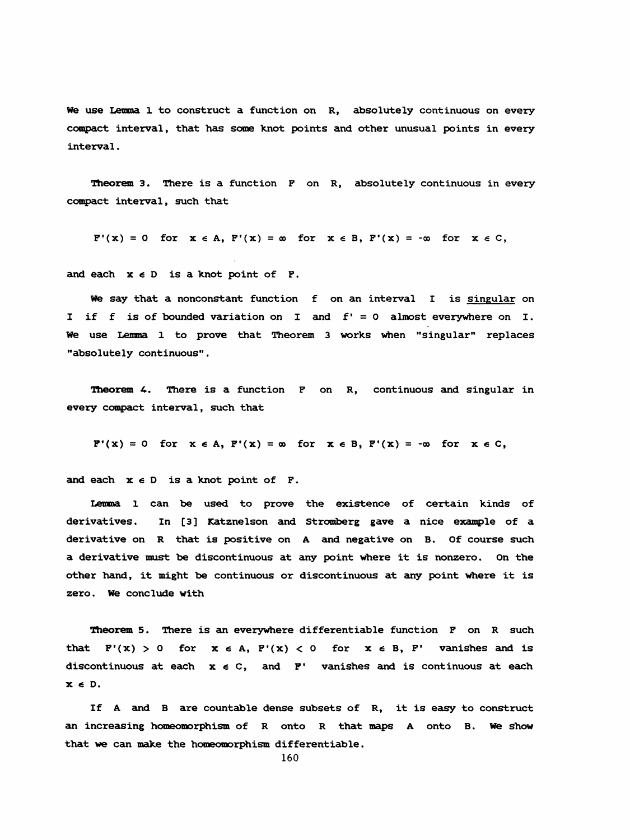We use Lemma 1 to construct a function on R, absolutely continuous on every compact interval, that has some knot points and other unusual points in every interval .

Theorem 3. There is a function F on R, absolutely continuous in every compact interval, such that

 $F'(x) = 0$  for  $x \in A$ ,  $F'(x) = \infty$  for  $x \in B$ ,  $F'(x) = -\infty$  for  $x \in C$ ,

and each  $x \in D$  is a knot point of  $F$ .

We say that a nonconstant function f on an interval I is singular on I if f is of bounded variation on I and £' = 0 almost everywhere on I. We use Lemma 1 to prove that Theorem 3 works when "singular" replaces "absolutely continuous" .

**Theorem 4.** There is a function  $F$  on  $R$ , continuous and singular in every compact interval, such that

$$
P'(x) = 0 \text{ for } x \in A, P'(x) = \infty \text{ for } x \in B, P'(x) = -\infty \text{ for } x \in C,
$$

and each  $x \in D$  is a knot point of  $F$ .

 Lenna 1 can be used to prove the existence of certain kinds of derivatives. In [3] Katznelson and Stromberg gave a nice example of a derivative on R that is positive on A and negative on B. Of course such a derivative must be discontinuous at any point Where it is nonzero. On the other hand, it might be continuous or discontinuous at amy point where it is zero. We conclude with

Theorem 5. There is an everywhere differentiable function F on R such that  $F'(x) > 0$  for  $x \in A$ ,  $F'(x) < 0$  for  $x \in B$ ,  $F'$  vanishes and is discontinuous at each  $x \in C$ , and  $F'$  vanishes and is continuous at each  $x \in D$ .

 If A and B are countable dense subsets of R, it is easy to construct am increasing homeomorphism of R onto R that maps A onto B. we show that we can make the homeomorphism differentiable.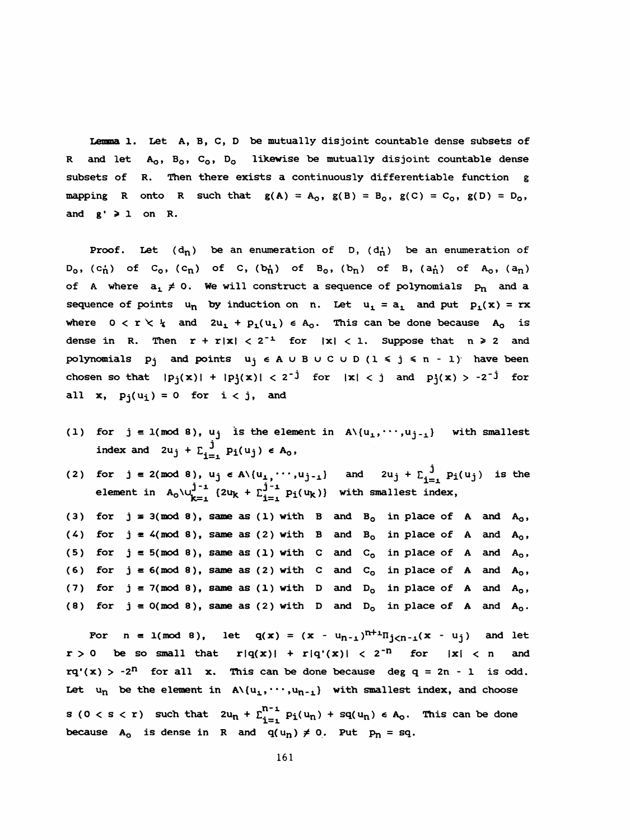Lemma 1. Leť A, B, C, D be mutually disjoint countable dense subsets of R and let  $A_0$ ,  $B_0$ ,  $C_0$ ,  $D_0$  likewise be mutually disjoint countable dense subsets of R. Then there exists a continuously differentiable function g mapping R onto R such that  $g(A) = A_0$ ,  $g(B) = B_0$ ,  $g(C) = C_0$ ,  $g(D) = D_0$ , and  $g' \geq 1$  on R.

Proof. Let  $(d_n)$  be an enumeration of D,  $(d_n)$  be an enumeration of  $D_0$ , (c<sub>n</sub>) of C<sub>0</sub>, (c<sub>n</sub>) of C, (b<sub>n</sub>) of B<sub>0</sub>, (b<sub>n</sub>) of B, (a<sub>n</sub>) of A<sub>0</sub>, (a<sub>n</sub>) of A where  $a_1 \neq 0$ . We will construct a sequence of polynomials  $p_n$  and a sequence of points  $u_n$  by induction on n. Let  $u_1 = a_1$  and put  $p_1(x) = rx$ where  $0 < r < \frac{1}{4}$  and  $2u_1 + p_1(u_1) \in A_0$ . This can be done because  $A_0$  is dense in R. Then  $r + r|x| < 2^{-1}$  for  $|x| < 1$ . Suppose that  $n \ge 2$  and polynomials  $p_j$  and points  $u_j \in A \cup B \cup C \cup D$  ( $1 \leq j \leq n - 1$ ) have been chosen so that  $|p_j(x)| + |p_j(x)| < 2^{-j}$  for  $|x| < j$  and  $p_j(x) > -2^{-j}$  for all x,  $p_i(u_i) = 0$  for  $i < j$ , and

- (1) for  $j = 1 \pmod{8}$ ,  $u_j$  is the element in  $A \setminus \{u_1, \dots, u_{j-1}\}$  with smallest index and  $2u_j + \sum_{i=1}^j p_i(u_j) \in A_0$ ,
- (2) for  $j = 2 \pmod{8}$ ,  $u_j \in A \setminus \{u_1, \cdots, u_{j-1}\}$  and  $2u_j + \sum_{i=1}^J p_i(u_j)$  is the element in  $A_0 \setminus \bigcup_{k=1}^{J-1} (2u_k + \sum_{i=1}^{J-1} p_i(u_k))$  with smallest index,

(3) for  $j = 3 \pmod{8}$ , same as (1) with B and B<sub>0</sub> in place of A and A<sub>0</sub>, (4) for  $j = 4 \pmod{8}$ , same as (2) with B and B<sub>0</sub> in place of A and A<sub>0</sub>, (5) for  $j = 5 \pmod{8}$ , same as (1) with C and C<sub>o</sub> in place of A and A<sub>0</sub>, (6) for  $j \equiv 6 \pmod{8}$ , same as (2) with C and C<sub>o</sub> in place of A and A<sub>0</sub>, (7) for  $j = 7 \pmod{8}$ , same as (1) with D and D<sub>0</sub> in place of A and A<sub>0</sub>, (8) for  $j = 0 \pmod{8}$ , same as (2) with D and D<sub>o</sub> in place of A and A<sub>0</sub>.

For  $n = 1 \pmod{8}$ , let  $q(x) = (x - u_{n-1})^{n+1} \Pi_{j \lt n-1}(x - u_j)$  and let  $r > 0$  be so small that  $r|q(x)| + r|q'(x)| < 2^{-n}$  for  $|x| < n$  and  $rq'(x) > -2^n$  for all x. This can be done because deg  $q = 2n - 1$  is odd. Let  $u_n$  be the element in  $A\setminus\{u_1, \cdots, u_{n-1}\}\$  with smallest index, and choose  $s \ (0 \ < s \ < r)$  such that  $2u_n + \sum_{i=1}^{n-1} p_i(u_n) + sq(u_n) \ \epsilon \ A_0$ . This can be done because  $A_0$  is dense in R and  $q(u_n) \neq 0$ . Put  $p_n = sq$ .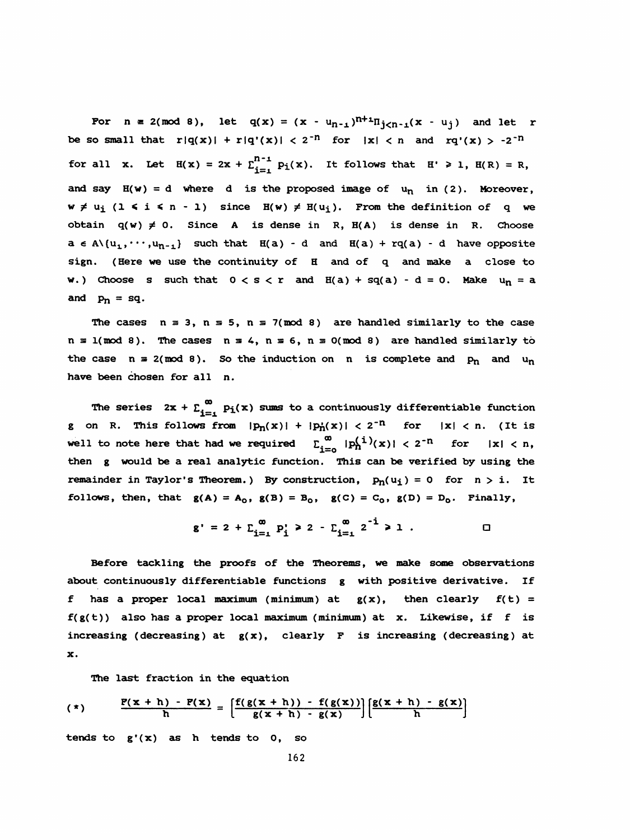For  $n = 2 \pmod{8}$ , let  $q(x) = (x - u_{n-1})^{n+1} \Pi_{j \lt n-1}(x - u_j)$  and let r be so small that  $r|q(x)| + r|q'(x)| < 2^{-n}$  for  $|x| < n$  and  $rq'(x) > -2^{-n}$ for all x. Let  $H(x) = 2x + \sum_{i=1}^{n-1} p_i(x)$ . It follows that  $H' \ge 1$ ,  $H(R) = R$ , and say  $H(w) = d$  where d is the proposed image of  $u_n$  in (2). Moreover,  $w \neq u_i$  ( $1 \leq i \leq n-1$ ) since  $H(w) \neq H(u_i)$ . From the definition of q we obtain  $q(w) \neq 0$ . Since A is dense in R,  $H(A)$  is dense in R. Choose  $a \in A\setminus\{u_1,\cdots,u_{n-1}\}\$  such that  $H(a) - d$  and  $H(a) + rq(a) - d$  have opposite sign. (Here we use the continuity of H and of q and make a close to w.) Choose s such that  $0 < s < r$  and  $E(a) + sq(a) - d = 0$ . Make  $u_n = a$ and  $p_n = sq$ .

The cases  $n \equiv 3$ ,  $n \equiv 5$ ,  $n \equiv 7 \pmod{8}$  are handled similarly to the case  $n \equiv 1 \pmod{8}$ . The cases  $n \equiv 4$ ,  $n \equiv 6$ ,  $n \equiv 0 \pmod{8}$  are handled similarly to the case  $n = 2 \pmod{8}$ . So the induction on n is complete and  $p_n$  and  $u_n$ have been chosen for all n.

The series  $2x + \sum_{i=1}^{\infty} p_i(x)$  sums to a continuously differentiable function g on R. This follows from  $|p_n(x)| + |p'_n(x)| < 2^{-n}$  for  $|x| < n$ . (It is well to note here that had we required  $\sum_{i=0}^{\infty} |p_n^{(1)}(x)| < 2^{-n}$  for  $|x| < n$ , then g would be a real analytic function. This can be verified by using the remainder in Taylor's Theorem.) By construction,  $p_n(u_i) = 0$  for  $n > i$ . It follows, then, that  $g(A) = A_0$ ,  $g(B) = B_0$ ,  $g(C) = C_0$ ,  $g(D) = D_0$ . Finally,

$$
g' = 2 + \sum_{i=1}^{\infty} p'_i \ge 2 - \sum_{i=1}^{\infty} 2^{-i} \ge 1
$$

 Before tackling the proofs of the Theorems, we make some observations about continuously differentiable functions g with positive derivative. If f has a proper local maximum (minimum) at  $g(x)$ , then clearly  $f(t) =$  $f(g(t))$  also has a proper local maximum (minimum) at x. Likewise, if f is increasing (decreasing) at  $g(x)$ , clearly F is increasing (decreasing) at x.

The last fraction in the equation

$$
(*) \qquad \frac{F(x+h) - F(x)}{h} = \left[ \frac{f(g(x+h)) - f(g(x))}{g(x+h) - g(x)} \right] \left[ \frac{g(x+h) - g(x)}{h} \right]
$$

tends to g'(x) as h tends to 0, so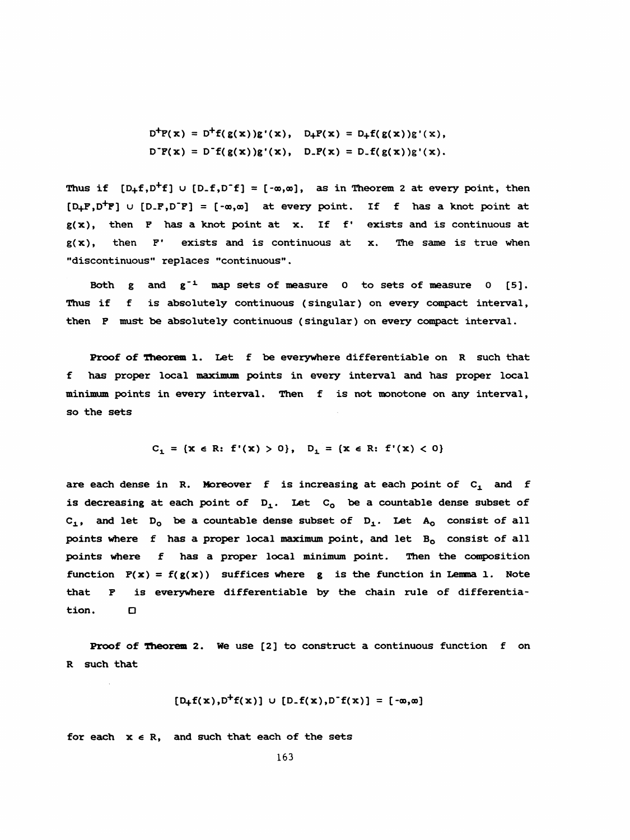$D^{+}F(x) = D^{+}f(g(x))g'(x), D_{+}F(x) = D_{+}f(g(x))g'(x),$  $D^{\dagger}P(X) = D^{\dagger}f(g(X))g'(X), \quad D_{\dagger}P(X) = D_{\dagger}f(g(X))g'(X).$ 

Thus if  $[D_{+}f, D^{+}f]$   $\cup$   $[D_{-}f, D^{+}f] = [-\infty, \infty]$ , as in Theorem 2 at every point, then  $[D_+F, D^+F]$  u  $[D_-F, D^-F] = [-\infty, \infty]$  at every point. If f has a knot point at  $g(x)$ , then F has a knot point at x. If f' exists and is continuous at  $g(x)$ , then  $F'$  exists and is continuous at x. The same is true when "discontinuous" replaces "continuous" .

Both  $g$  and  $g^{-1}$  map sets of measure 0 to sets of measure 0 [5]. Thus if f is absolutely continuous (singular) on every compact interval, then F must be absolutely continuous (singular) on every compact interval.

Proof of Theorem 1. Let f be everywhere differentiable on R such that f has proper local maximum points in every interval and has proper local minimum points in every interval. Then f is not monotone on amy interval, so the sets

$$
C_1 = \{x \in R: f'(x) > 0\}, D_1 = \{x \in R: f'(x) < 0\}
$$

are each dense in R. Moreover f is increasing at each point of  $C_1$  and f is decreasing at each point of  $D_1$ . Let  $C_0$  be a countable dense subset of C<sub>1</sub>, and let D<sub>0</sub> be a countable dense subset of D<sub>1</sub>. Let A<sub>0</sub> consist of all points where  $f$  has a proper local maximum point, and let  $B_0$  consist of all points where f has a proper local minimum point. Then the composition function  $F(x) = f(g(x))$  suffices where g is the function in Lemma 1. Note that F is everywhere differentiable by the chain rule of differentia tion. <br>  $\Box$ 

 Proof of Theorem 2. We use [2] to construct a continuous function f on R such that

$$
[D_{+}f(x),D^{+}f(x)] \cup [D_{-}f(x),D^{-}f(x)] = [-\infty,\infty]
$$

for each  $x \in R$ , and such that each of the sets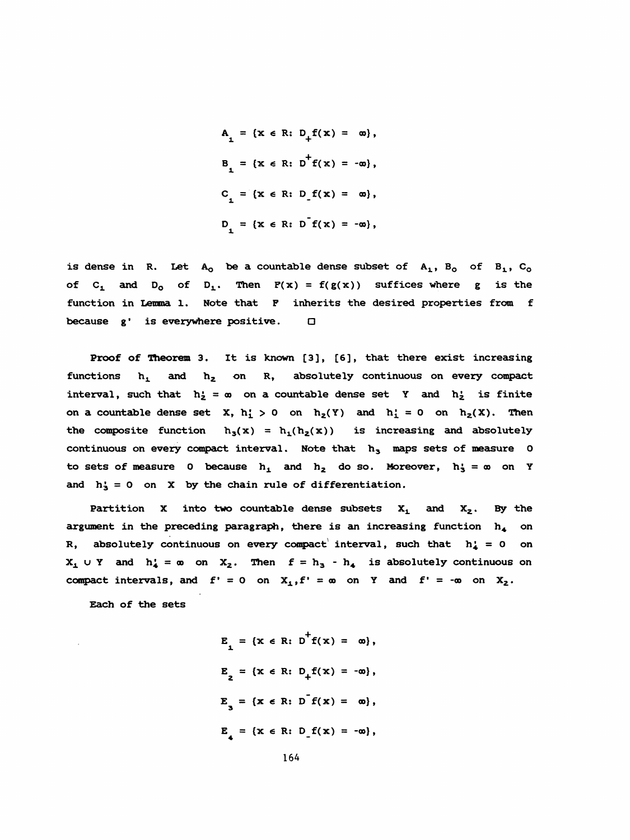$A_1 = \{x \in R: D_1f(x) = \infty\},$  $L = \{x \in R: D_+$ = { $x \in R$ ; D<sub>+</sub>f( $x$ ) =  $\infty$ },<br>= { $x \in R$ ; D<sup>+</sup>f( $x$ ) = - $\infty$ },  $C_1 = \{x \in R: D_f(x) = \infty\},$  $D_1 = \{x \in R: D^T f(x) = -\infty\},$ 

is dense in R. Let  $A_0$  be a countable dense subset of  $A_1$ ,  $B_0$  of  $B_1$ ,  $C_0$ of C<sub>1</sub> and D<sub>0</sub> of D<sub>1</sub>. Then  $F(x) = f(g(x))$  suffices where g is the function in Lemma 1. Note that F inherits the desired properties from f because  $g'$  is everywhere positive.  $\square$ 

 Proof of Theorem 3. It is Known [3], [6], that there exist increasing functions  $h_1$  and  $h_2$  on R, absolutely continuous on every compact interval, such that  $h'_2 = \infty$  on a countable dense set Y and  $h'_2$  is finite on a countable dense set X,  $h'_1 > 0$  on  $h_2(Y)$  and  $h'_1 = 0$  on  $h_2(X)$ . Then the composite function  $h_3(x) = h_1(h_2(x))$  is increasing and absolutely continuous on every compact interval. Note that  $h_3$  maps sets of measure 0 to sets of measure 0 because  $h_1$  and  $h_2$  do so. Moreover,  $h_3 = \infty$  on Y and  $h_3 = 0$  on X by the chain rule of differentiation.

Partition X into two countable dense subsets  $X_1$  and  $X_2$ . By the argument in the preceding paragraph, there is an increasing function  $h_{\mathbf{A}}$  on R, absolutely continuous on every compact interval, such that  $h_4 = 0$  on  $X_1 \cup Y$  and  $h'_4 = \infty$  on  $X_2$ . Then  $f = h_3 - h_4$  is absolutely continuous on compact intervals, and  $f' = 0$  on  $X_1, f' = \infty$  on Y and  $f' = -\infty$  on  $X_2$ .

Each of the sets

 $E_{1} = \{x \in R: D^{\dagger}f(x) = \infty\},$  $E_{2} = {x \in R: D_{+}f(x) = -\omega},$  $E_{3} = \{x \in R: D^{T}f(x) = \infty\},$  $E^{}_{,}$  = {x  $\in$  R: D  $f(x)$  = - $\infty$ },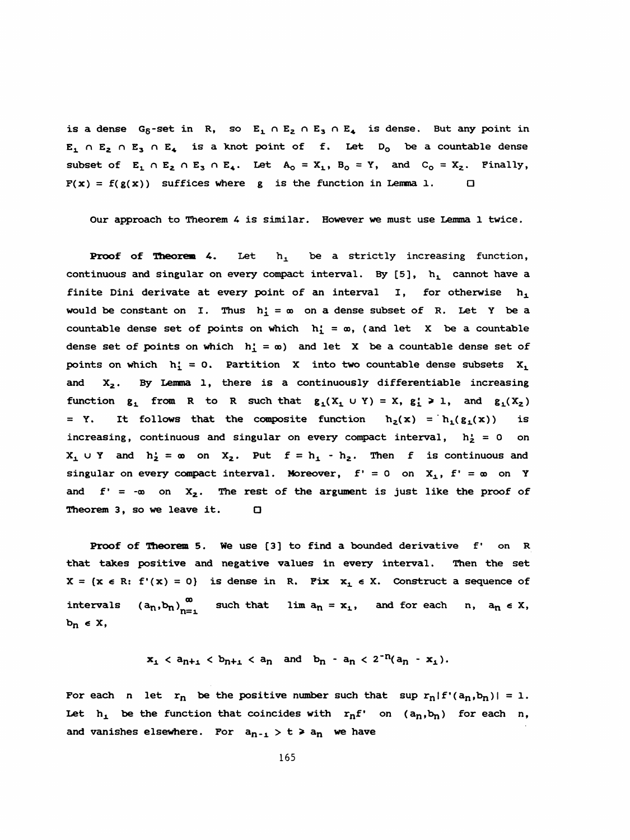is a dense  $G_6$ -set in R, so  $E_1 \cap E_2 \cap E_3 \cap E_4$  is dense. But any point in  $E_1 \cap E_2 \cap E_3 \cap E_4$  is a knot point of f. Let D<sub>0</sub> be a countable dense subset of  $E_1 \cap E_2 \cap E_3 \cap E_4$ . Let  $A_0 = X_1$ ,  $B_0 = Y$ , and  $C_0 = X_2$ . Finally,  $F(x) = f(g(x))$  suffices where g is the function in Lemma 1.  $\Box$ 

Our approach to Theorem 4 is similar. However we must use Lemma 1 twice.

**Proof of Theorem 4.** Let  $h_1$  be a strictly increasing function, continuous and singular on every compact interval. By  $[5]$ ,  $h_1$  cannot have a finite Dini derivate at every point of an interval  $I$ , for otherwise  $h_1$ would be constant on I. Thus  $h_1' = \infty$  on a dense subset of R. Let Y be a countable dense set of points on which  $h'_1 = \infty$ , (and let X be a countable dense set of points on which  $h'_1 = \infty$  and let X be a countable dense set of points on which  $h'_1 = 0$ . Partition X into two countable dense subsets  $X_1$ and  $X_2$ . By Lemma 1, there is a continuously differentiable increasing function  $g_1$  from R to R such that  $g_1(X_1 \cup Y) = X$ ,  $g_1' \ge 1$ , and  $g_1(X_2)$ = Y. It follows that the composite function  $h_2(x) = h_1(g_1(x))$  is increasing, continuous and singular on every compact interval,  $h_2 = 0$  on  $X_1 \cup Y$  and  $h'_2 = \infty$  on  $X_2$ . Put  $f = h_1 - h_2$ . Then f is continuous and singular on every compact interval. Moreover,  $f' = 0$  on  $X_1$ ,  $f' = \infty$  on Y and  $f' = -\infty$  on  $X_2$ . The rest of the argument is just like the proof of Theorem 3, so we leave it.  $□$ 

Proof of Theorem 5. We use [3] to find a bounded derivative f' on R that takes positive and negative values in every interval. Then the set  $X = \{x \in R: f'(x) = 0\}$  is dense in R. Fix  $x_1 \in X$ . Construct a sequence of intervals  $(a_n, b_n)_{n=1}^{\infty}$  such that lim  $a_n = x_1$ , and for each n,  $a_n \in X$ ,  $b_n \in X$ ,

$$
x_1 < a_{n+1} < b_{n+1} < a_n \quad \text{and} \quad b_n - a_n < 2^{-n}(a_n - x_1).
$$

For each n let  $r_n$  be the positive number such that sup  $r_n|f'(a_n,b_n)| = 1$ . Let  $h_1$  be the function that coincides with  $r_n f'$  on  $(a_n,b_n)$  for each n, and vanishes elsewhere. For  $a_{n-1} > t > a_n$  we have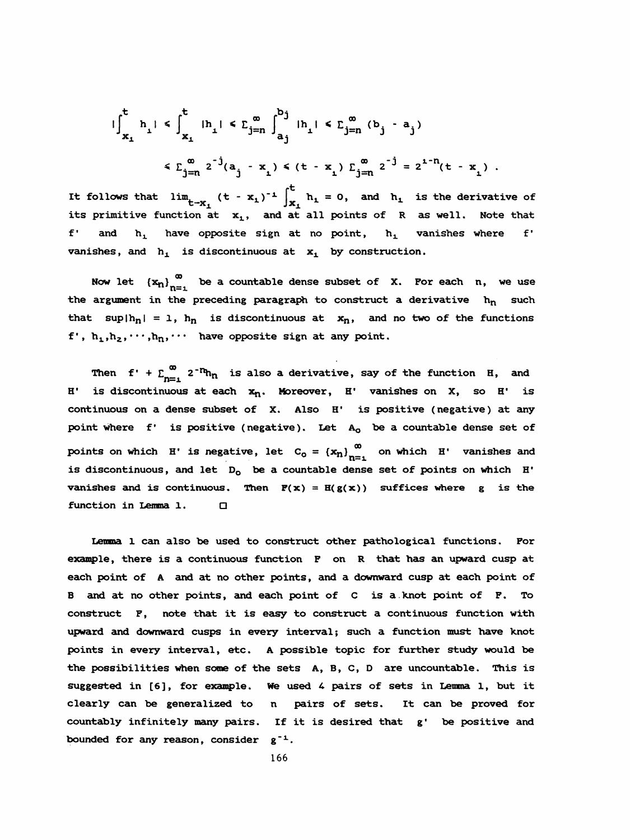$$
\begin{aligned}\n\int_{x_1}^t h_1 & \leq \int_{x_1}^t |h_1| & \leq \sum_{j=n}^{\infty} \int_{a_j}^{b_j} |h_1| & \leq \sum_{j=n}^{\infty} (b_j - a_j) \\
& \leq \sum_{j=n}^{\infty} 2^{-j} (a_j - x_1) & \leq (t - x_1) \sum_{j=n}^{\infty} 2^{-j} = 2^{1-n} (t - x_1)\n\end{aligned}
$$

It follows that  $\lim_{t\to x_1} (t - x_1)^{-1} \int_{x_1}^t h_1 = 0$ , and  $h_1$  is the derivative of its primitive function at  $x_1$ , and at all points of R as well. Note that f' and  $h_1$  have opposite sign at no point,  $h_1$  vanishes where f' vanishes, and  $h_1$  is discontinuous at  $x_1$  by construction.

Now let  $(x_n)_{n=1}^{\infty}$  be a countable dense subset of X. For each n, we use the argument in the preceding paragraph to construct a derivative  $h_n$  such that sup $|h_n| = 1$ ,  $h_n$  is discontinuous at  $x_n$ , and no two of the functions f',  $h_1, h_2, \cdots, h_n, \cdots$  have opposite sign at any point.

Then  $f' + \sum_{n=1}^{\infty} 2^{-n}h_n$  is also a derivative, say of the function H, and H' is discontinuous at each  $x_n$ . Moreover, H' vanishes on X, so H' is continuous on a dense subset of X. Also H' is positive (negative) at any point where  $f'$  is positive (negative). Let  $A_0$  be a countable dense set of points on which H' is negative, let  $C_0 = {x_n}_{n=1}^{\infty}$  on which H' vanishes and is discontinuous, and let  $D_0$  be a countable dense set of points on which H' vanishes and is continuous. Then  $F(x) = H(g(x))$  suffices where g is the function in Lemma 1. □

 Lemma 1 can also be used to construct other pathological functions. Por example, there is a continuous function P on R that has an upward cusp at each point of A and at no other points, and a downward cusp at each point of B and at no other points, and each point of C is a. knot point of P. To construct F, note that it is easy to construct a continuous function with upward and downward cusps in every interval; such a function must have knot points in every interval, etc. A possible topic for further study would be the possibilities when some of the sets A, B, C, D are uncountable. This is suggested in  $[6]$ , for example. We used 4 pairs of sets in Lemma 1, but it clearly can be generalized to n pairs of sets. It can be proved for countably infinitely many pairs. If it is desired that g' be positive and bounded for any reason, consider  $g^{-1}$ .